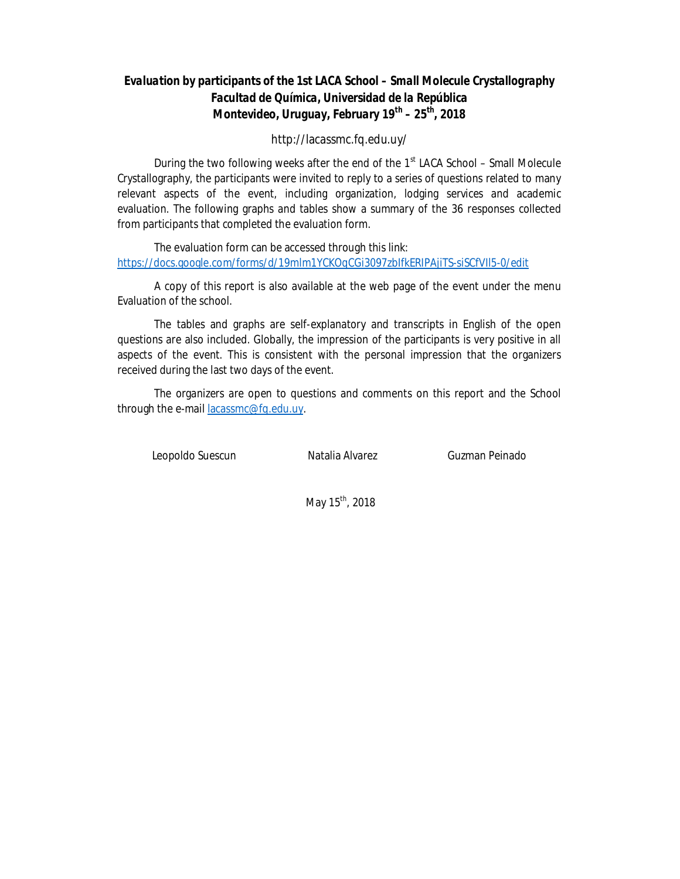### *Evaluation by participants of the 1st LACA School – Small Molecule Crystallography Facultad de Química, Universidad de la República Montevideo, Uruguay, February 19th – 25 th , 2018*

http://lacassmc.fq.edu.uy/

During the two following weeks after the end of the  $1<sup>st</sup>$  LACA School – Small Molecule Crystallography, the participants were invited to reply to a series of questions related to many relevant aspects of the event, including organization, lodging services and academic evaluation. The following graphs and tables show a summary of the 36 responses collected from participants that completed the evaluation form.

The evaluation form can be accessed through this link: https://docs.google.com/forms/d/19mlm1YCKOqCGi3097zbIfkERIPAjiTS-siSCfVIl5-0/edit

A copy of this report is also available at the web page of the event under the menu Evaluation of the school.

The tables and graphs are self-explanatory and transcripts in English of the open questions are also included. Globally, the impression of the participants is very positive in all aspects of the event. This is consistent with the personal impression that the organizers received during the last two days of the event.

The organizers are open to questions and comments on this report and the School through the e-mail lacassmc@fq.edu.uy.

Leopoldo Suescun **Natalia Alvarez** Guzman Peinado

May 15<sup>th</sup>, 2018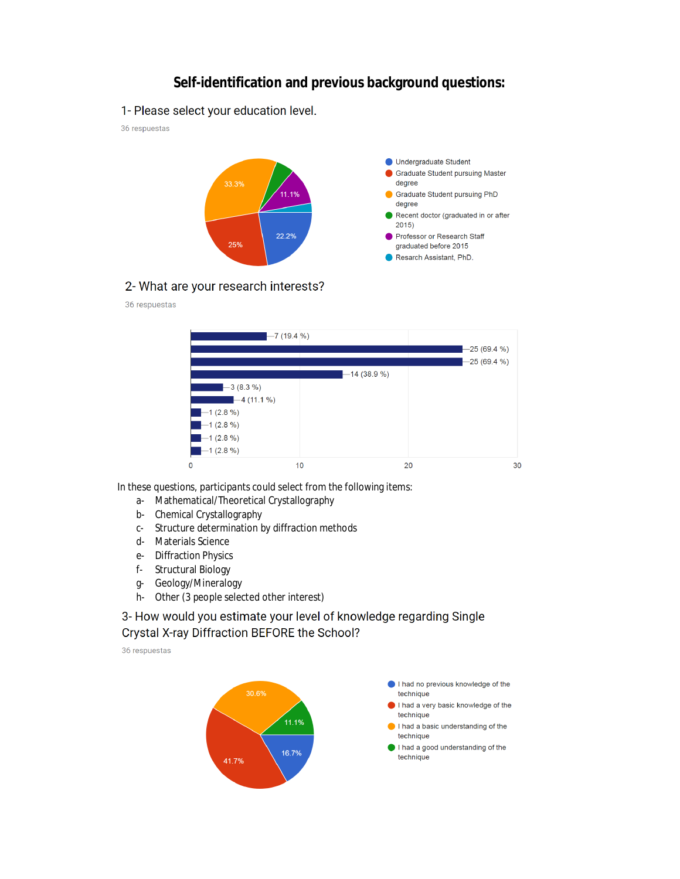## **Self-identification and previous background questions:**

1- Please select your education level.

36 respuestas



#### 2- What are your research interests?

#### 36 respuestas



In these questions, participants could select from the following items:

- a- Mathematical/Theoretical Crystallography
- b- Chemical Crystallography
- c- Structure determination by diffraction methods
- d- Materials Science
- e- Diffraction Physics
- f- Structural Biology
- g- Geology/Mineralogy
- h- Other (3 people selected other interest)

3- How would you estimate your level of knowledge regarding Single Crystal X-ray Diffraction BEFORE the School?

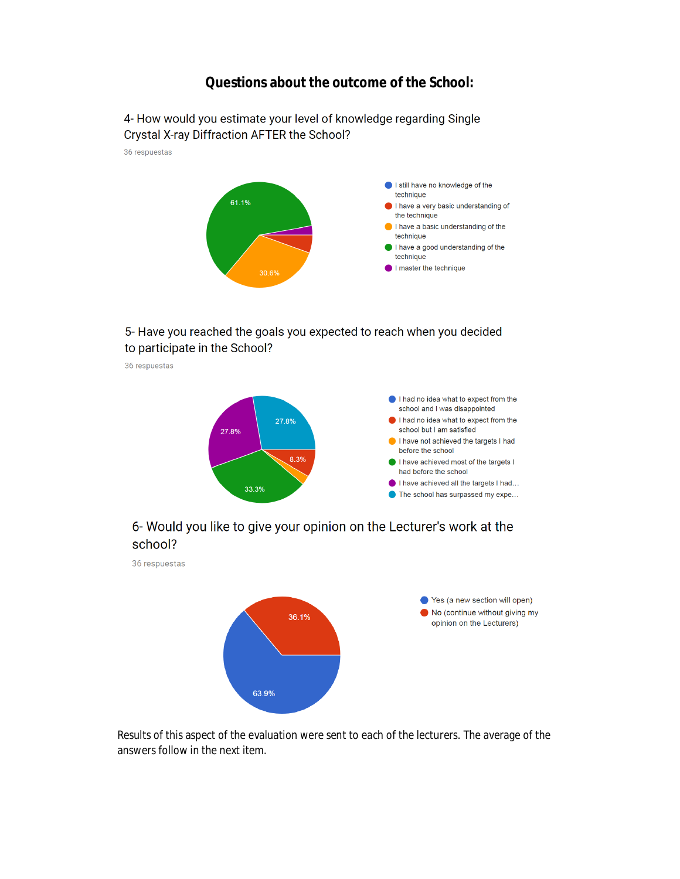### **Questions about the outcome of the School:**



### 5- Have you reached the goals you expected to reach when you decided to participate in the School?

36 respuestas



## 6- Would you like to give your opinion on the Lecturer's work at the school?

36 respuestas



Results of this aspect of the evaluation were sent to each of the lecturers. The average of the answers follow in the next item.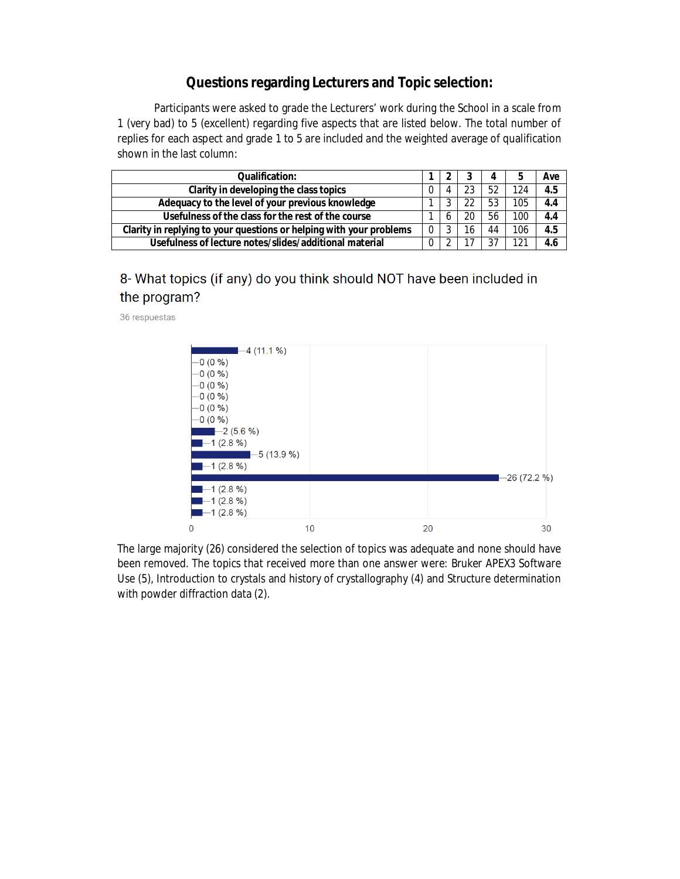## **Questions regarding Lecturers and Topic selection:**

Participants were asked to grade the Lecturers' work during the School in a scale from 1 (very bad) to 5 (excellent) regarding five aspects that are listed below. The total number of replies for each aspect and grade 1 to 5 are included and the weighted average of qualification shown in the last column:

| Oualification:                                                      |          |    | Д  |     | Ave |
|---------------------------------------------------------------------|----------|----|----|-----|-----|
| Clarity in developing the class topics                              |          |    | 52 | 124 | 4.5 |
| Adequacy to the level of your previous knowledge                    |          | າາ | 53 | 105 | 4.4 |
| Usefulness of the class for the rest of the course                  |          | 20 | 56 | 100 | 4.4 |
| Clarity in replying to your questions or helping with your problems |          | 16 | 44 | 106 | 4.5 |
| Usefulness of lecture notes/slides/additional material              | $\Omega$ |    | 37 | 101 | 4.6 |

# 8- What topics (if any) do you think should NOT have been included in the program?

36 respuestas



The large majority (26) considered the selection of topics was adequate and none should have been removed. The topics that received more than one answer were: Bruker APEX3 Software Use (5), Introduction to crystals and history of crystallography (4) and Structure determination with powder diffraction data (2).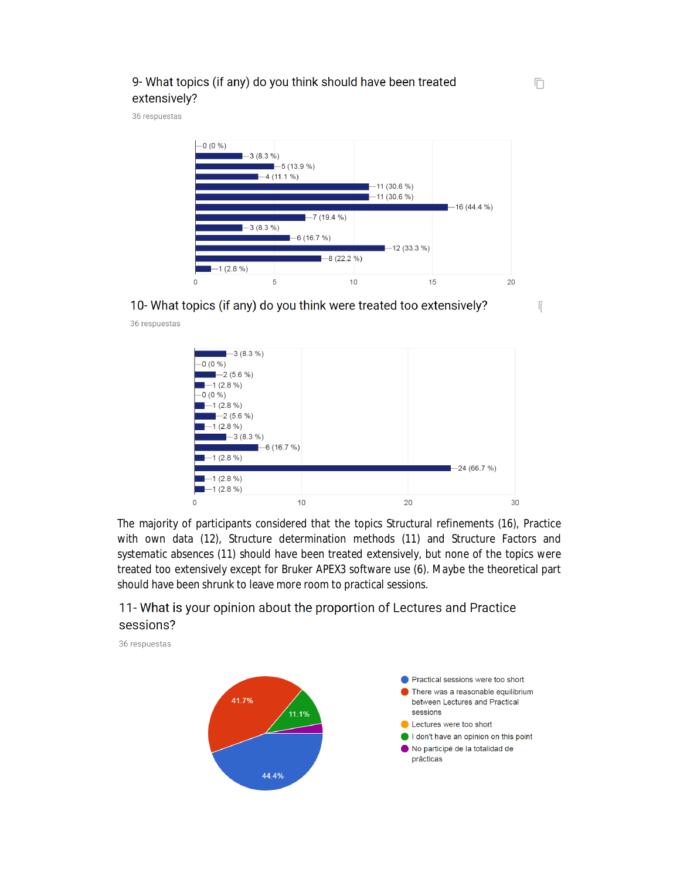### 9- What topics (if any) do you think should have been treated extensively?

36 respuestas

36 respuestas



10- What topics (if any) do you think were treated too extensively?  $\sqrt{\frac{2}{3}}$ 



The majority of participants considered that the topics Structural refinements (16), Practice with own data (12), Structure determination methods (11) and Structure Factors and systematic absences (11) should have been treated extensively, but none of the topics were treated too extensively except for Bruker APEX3 software use (6). Maybe the theoretical part should have been shrunk to leave more room to practical sessions.

# 11- What is your opinion about the proportion of Lectures and Practice sessions?

36 respuestas



戶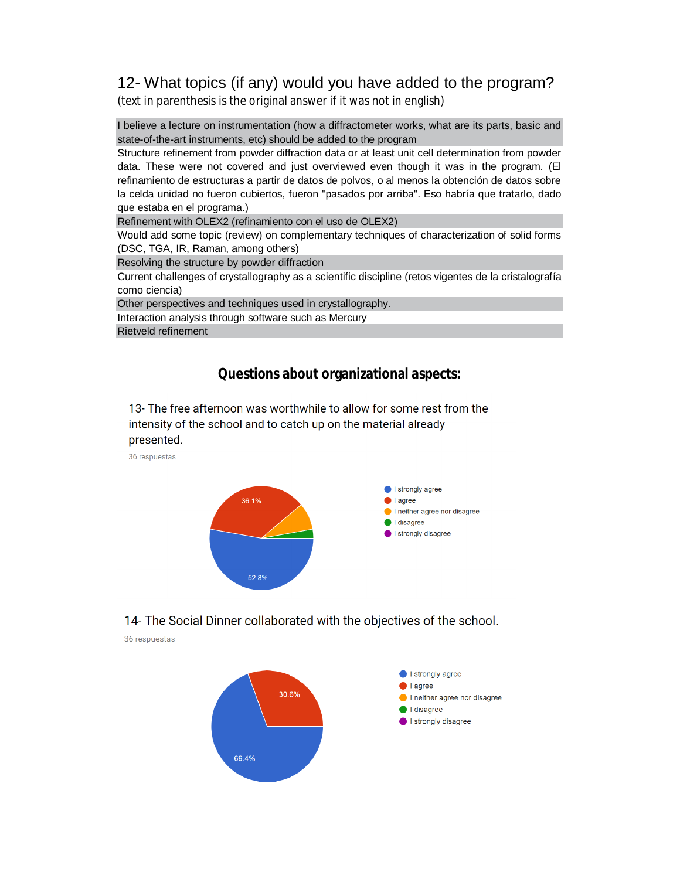# 12- What topics (if any) would you have added to the program?

(text in parenthesis is the original answer if it was not in english)

I believe a lecture on instrumentation (how a diffractometer works, what are its parts, basic and state-of-the-art instruments, etc) should be added to the program

Structure refinement from powder diffraction data or at least unit cell determination from powder data. These were not covered and just overviewed even though it was in the program. (El refinamiento de estructuras a partir de datos de polvos, o al menos la obtención de datos sobre la celda unidad no fueron cubiertos, fueron "pasados por arriba". Eso habría que tratarlo, dado que estaba en el programa.)

Refinement with OLEX2 (refinamiento con el uso de OLEX2)

Would add some topic (review) on complementary techniques of characterization of solid forms (DSC, TGA, IR, Raman, among others)

Resolving the structure by powder diffraction

Current challenges of crystallography as a scientific discipline (retos vigentes de la cristalografía como ciencia)

Other perspectives and techniques used in crystallography.

Interaction analysis through software such as Mercury

Rietveld refinement

## **Questions about organizational aspects:**

13- The free afternoon was worthwhile to allow for some rest from the intensity of the school and to catch up on the material already presented.

36 respuestas



14- The Social Dinner collaborated with the objectives of the school.

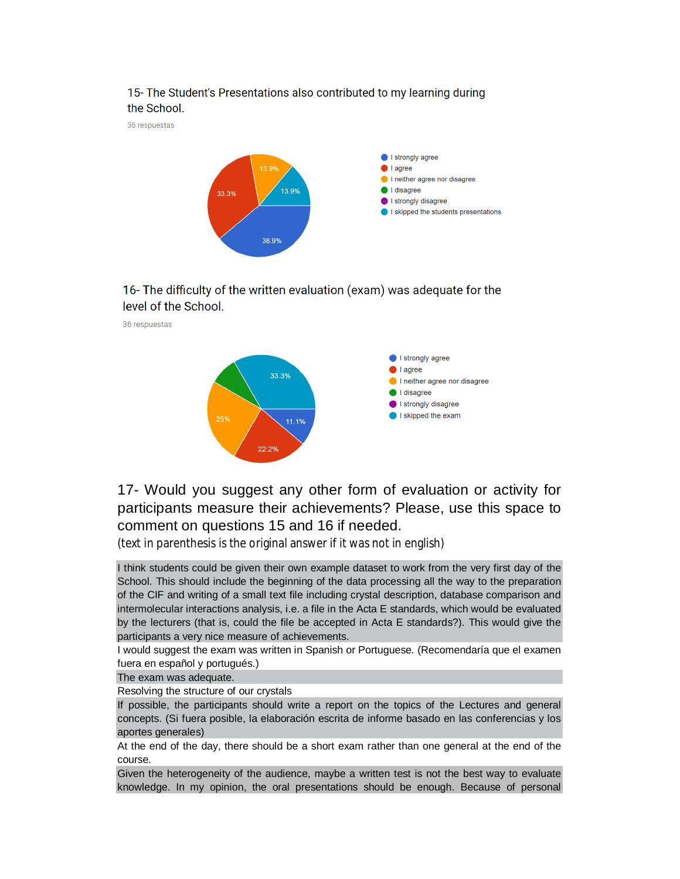

### 15- The Student's Presentations also contributed to my learning during the School.

16- The difficulty of the written evaluation (exam) was adequate for the level of the School.

36 respuestas



17- Would you suggest any other form of evaluation or activity for participants measure their achievements? Please, use this space to comment on questions 15 and 16 if needed.

(text in parenthesis is the original answer if it was not in english)

I think students could be given their own example dataset to work from the very first day of the School. This should include the beginning of the data processing all the way to the preparation of the CIF and writing of a small text file including crystal description, database comparison and intermolecular interactions analysis, i.e. a file in the Acta E standards, which would be evaluated by the lecturers (that is, could the file be accepted in Acta E standards?). This would give the participants a very nice measure of achievements.

I would suggest the exam was written in Spanish or Portuguese. (Recomendaría que el examen fuera en español y portugués.)

The exam was adequate.

Resolving the structure of our crystals

If possible, the participants should write a report on the topics of the Lectures and general concepts. (Si fuera posible, la elaboración escrita de informe basado en las conferencias y los aportes generales)

At the end of the day, there should be a short exam rather than one general at the end of the course.

Given the heterogeneity of the audience, maybe a written test is not the best way to evaluate knowledge. In my opinion, the oral presentations should be enough. Because of personal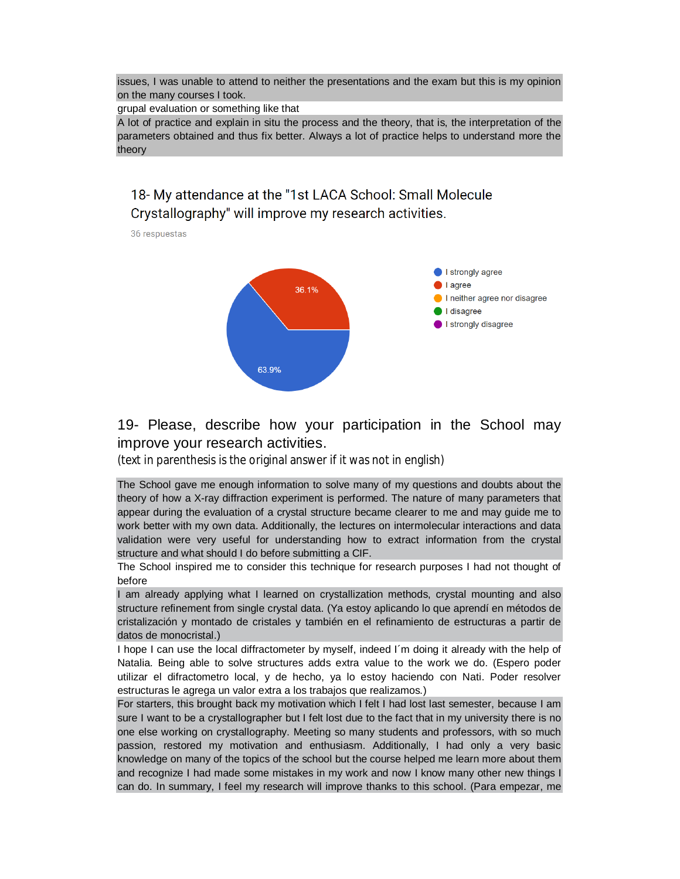issues, I was unable to attend to neither the presentations and the exam but this is my opinion on the many courses I took.

grupal evaluation or something like that

A lot of practice and explain in situ the process and the theory, that is, the interpretation of the parameters obtained and thus fix better. Always a lot of practice helps to understand more the theory

## 18- My attendance at the "1st LACA School: Small Molecule Crystallography" will improve my research activities.

36 respuestas



19- Please, describe how your participation in the School may improve your research activities.

(text in parenthesis is the original answer if it was not in english)

The School gave me enough information to solve many of my questions and doubts about the theory of how a X-ray diffraction experiment is performed. The nature of many parameters that appear during the evaluation of a crystal structure became clearer to me and may guide me to work better with my own data. Additionally, the lectures on intermolecular interactions and data validation were very useful for understanding how to extract information from the crystal structure and what should I do before submitting a CIF.

The School inspired me to consider this technique for research purposes I had not thought of before

I am already applying what I learned on crystallization methods, crystal mounting and also structure refinement from single crystal data. (Ya estoy aplicando lo que aprendí en métodos de cristalización y montado de cristales y también en el refinamiento de estructuras a partir de datos de monocristal.)

I hope I can use the local diffractometer by myself, indeed I´m doing it already with the help of Natalia. Being able to solve structures adds extra value to the work we do. (Espero poder utilizar el difractometro local, y de hecho, ya lo estoy haciendo con Nati. Poder resolver estructuras le agrega un valor extra a los trabajos que realizamos.)

For starters, this brought back my motivation which I felt I had lost last semester, because I am sure I want to be a crystallographer but I felt lost due to the fact that in my university there is no one else working on crystallography. Meeting so many students and professors, with so much passion, restored my motivation and enthusiasm. Additionally, I had only a very basic knowledge on many of the topics of the school but the course helped me learn more about them and recognize I had made some mistakes in my work and now I know many other new things I can do. In summary, I feel my research will improve thanks to this school. (Para empezar, me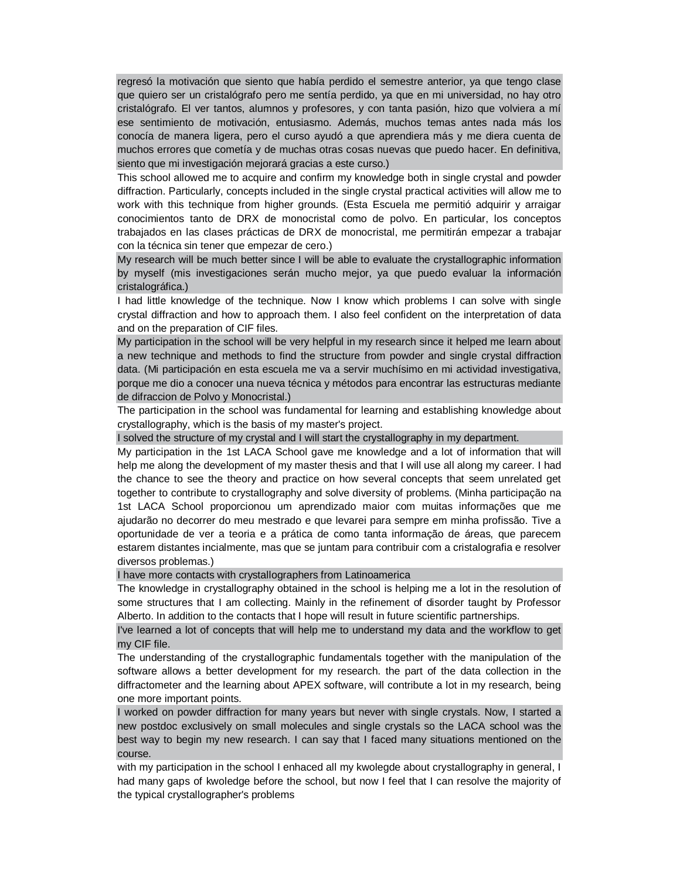regresó la motivación que siento que había perdido el semestre anterior, ya que tengo clase que quiero ser un cristalógrafo pero me sentía perdido, ya que en mi universidad, no hay otro cristalógrafo. El ver tantos, alumnos y profesores, y con tanta pasión, hizo que volviera a mí ese sentimiento de motivación, entusiasmo. Además, muchos temas antes nada más los conocía de manera ligera, pero el curso ayudó a que aprendiera más y me diera cuenta de muchos errores que cometía y de muchas otras cosas nuevas que puedo hacer. En definitiva, siento que mi investigación mejorará gracias a este curso.)

This school allowed me to acquire and confirm my knowledge both in single crystal and powder diffraction. Particularly, concepts included in the single crystal practical activities will allow me to work with this technique from higher grounds. (Esta Escuela me permitió adquirir y arraigar conocimientos tanto de DRX de monocristal como de polvo. En particular, los conceptos trabajados en las clases prácticas de DRX de monocristal, me permitirán empezar a trabajar con la técnica sin tener que empezar de cero.)

My research will be much better since I will be able to evaluate the crystallographic information by myself (mis investigaciones serán mucho mejor, ya que puedo evaluar la información cristalográfica.)

I had little knowledge of the technique. Now I know which problems I can solve with single crystal diffraction and how to approach them. I also feel confident on the interpretation of data and on the preparation of CIF files.

My participation in the school will be very helpful in my research since it helped me learn about a new technique and methods to find the structure from powder and single crystal diffraction data. (Mi participación en esta escuela me va a servir muchísimo en mi actividad investigativa, porque me dio a conocer una nueva técnica y métodos para encontrar las estructuras mediante de difraccion de Polvo y Monocristal.)

The participation in the school was fundamental for learning and establishing knowledge about crystallography, which is the basis of my master's project.

I solved the structure of my crystal and I will start the crystallography in my department.

My participation in the 1st LACA School gave me knowledge and a lot of information that will help me along the development of my master thesis and that I will use all along my career. I had the chance to see the theory and practice on how several concepts that seem unrelated get together to contribute to crystallography and solve diversity of problems. (Minha participação na 1st LACA School proporcionou um aprendizado maior com muitas informações que me ajudarão no decorrer do meu mestrado e que levarei para sempre em minha profissão. Tive a oportunidade de ver a teoria e a prática de como tanta informação de áreas, que parecem estarem distantes incialmente, mas que se juntam para contribuir com a cristalografia e resolver diversos problemas.)

I have more contacts with crystallographers from Latinoamerica

The knowledge in crystallography obtained in the school is helping me a lot in the resolution of some structures that I am collecting. Mainly in the refinement of disorder taught by Professor Alberto. In addition to the contacts that I hope will result in future scientific partnerships.

I've learned a lot of concepts that will help me to understand my data and the workflow to get my CIF file.

The understanding of the crystallographic fundamentals together with the manipulation of the software allows a better development for my research. the part of the data collection in the diffractometer and the learning about APEX software, will contribute a lot in my research, being one more important points.

I worked on powder diffraction for many years but never with single crystals. Now, I started a new postdoc exclusively on small molecules and single crystals so the LACA school was the best way to begin my new research. I can say that I faced many situations mentioned on the course.

with my participation in the school I enhaced all my kwolegde about crystallography in general, I had many gaps of kwoledge before the school, but now I feel that I can resolve the majority of the typical crystallographer's problems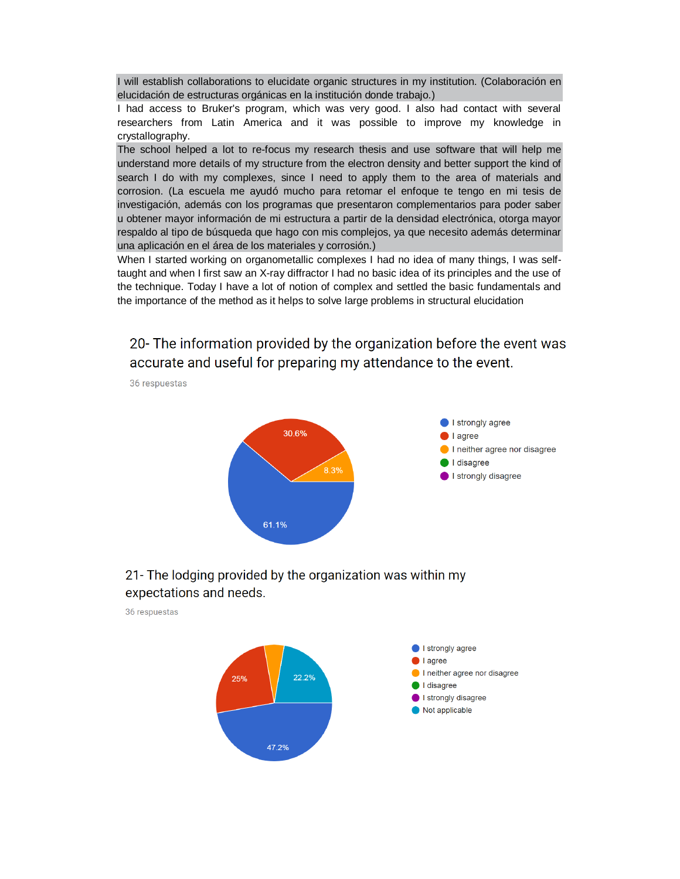I will establish collaborations to elucidate organic structures in my institution. (Colaboración en elucidación de estructuras orgánicas en la institución donde trabajo.)

I had access to Bruker's program, which was very good. I also had contact with several researchers from Latin America and it was possible to improve my knowledge in crystallography.

The school helped a lot to re-focus my research thesis and use software that will help me understand more details of my structure from the electron density and better support the kind of search I do with my complexes, since I need to apply them to the area of materials and corrosion. (La escuela me ayudó mucho para retomar el enfoque te tengo en mi tesis de investigación, además con los programas que presentaron complementarios para poder saber u obtener mayor información de mi estructura a partir de la densidad electrónica, otorga mayor respaldo al tipo de búsqueda que hago con mis complejos, ya que necesito además determinar una aplicación en el área de los materiales y corrosión.)

When I started working on organometallic complexes I had no idea of many things, I was selftaught and when I first saw an X-ray diffractor I had no basic idea of its principles and the use of the technique. Today I have a lot of notion of complex and settled the basic fundamentals and the importance of the method as it helps to solve large problems in structural elucidation

20- The information provided by the organization before the event was accurate and useful for preparing my attendance to the event.

36 respuestas



### 21- The lodging provided by the organization was within my expectations and needs.

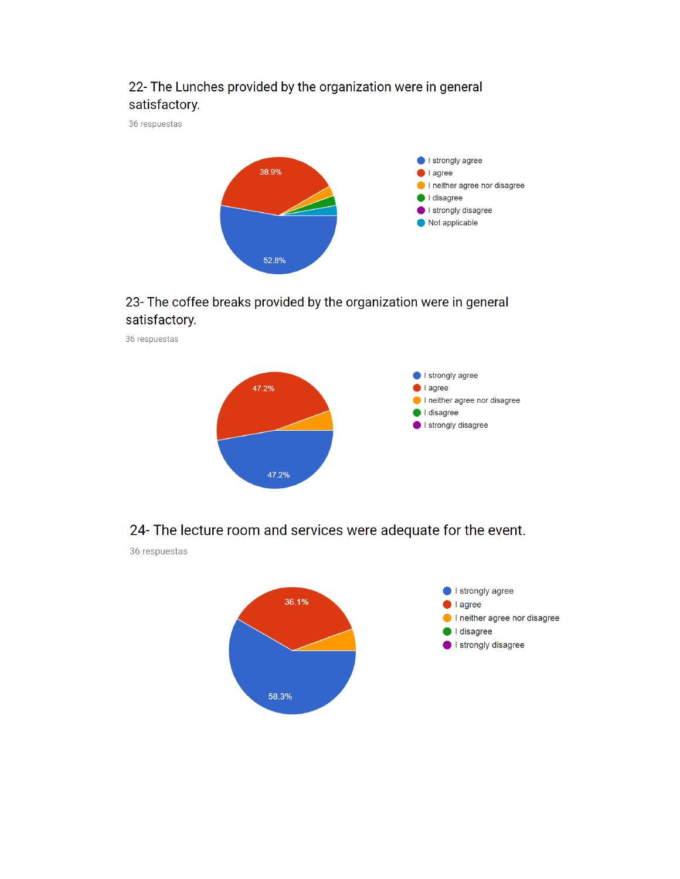# 22- The Lunches provided by the organization were in general satisfactory.

36 respuestas



# 23- The coffee breaks provided by the organization were in general satisfactory.



## 24- The lecture room and services were adequate for the event.

36 respuestas

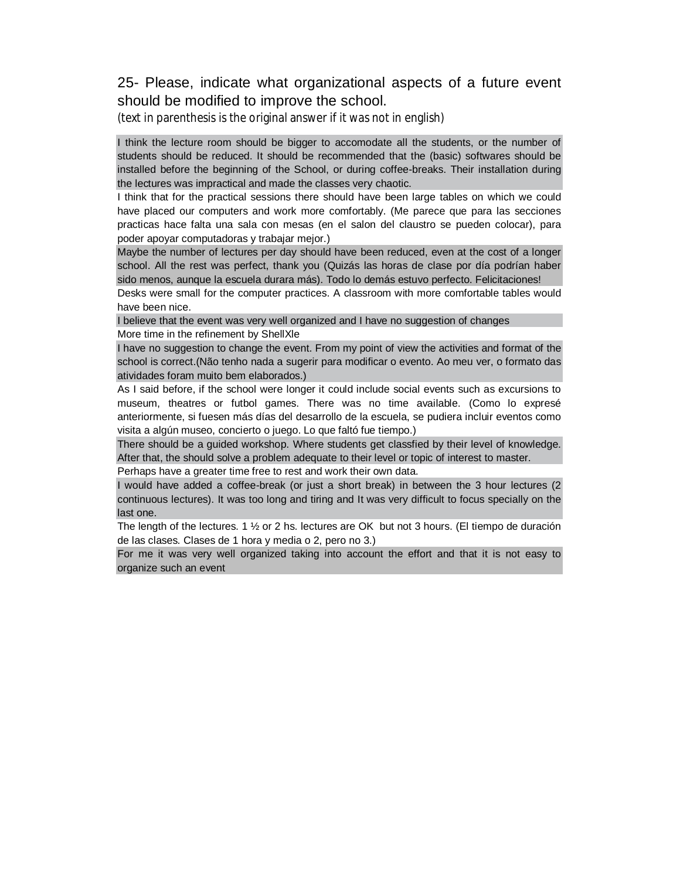## 25- Please, indicate what organizational aspects of a future event should be modified to improve the school.

(text in parenthesis is the original answer if it was not in english)

I think the lecture room should be bigger to accomodate all the students, or the number of students should be reduced. It should be recommended that the (basic) softwares should be installed before the beginning of the School, or during coffee-breaks. Their installation during the lectures was impractical and made the classes very chaotic.

I think that for the practical sessions there should have been large tables on which we could have placed our computers and work more comfortably. (Me parece que para las secciones practicas hace falta una sala con mesas (en el salon del claustro se pueden colocar), para poder apoyar computadoras y trabajar mejor.)

Maybe the number of lectures per day should have been reduced, even at the cost of a longer school. All the rest was perfect, thank you (Quizás las horas de clase por día podrían haber sido menos, aunque la escuela durara más). Todo lo demás estuvo perfecto. Felicitaciones!

Desks were small for the computer practices. A classroom with more comfortable tables would have been nice.

I believe that the event was very well organized and I have no suggestion of changes More time in the refinement by ShellXle

I have no suggestion to change the event. From my point of view the activities and format of the school is correct.(Não tenho nada a sugerir para modificar o evento. Ao meu ver, o formato das atividades foram muito bem elaborados.)

As I said before, if the school were longer it could include social events such as excursions to museum, theatres or futbol games. There was no time available. (Como lo expresé anteriormente, si fuesen más días del desarrollo de la escuela, se pudiera incluir eventos como visita a algún museo, concierto o juego. Lo que faltó fue tiempo.)

There should be a guided workshop. Where students get classfied by their level of knowledge. After that, the should solve a problem adequate to their level or topic of interest to master.

Perhaps have a greater time free to rest and work their own data.

I would have added a coffee-break (or just a short break) in between the 3 hour lectures (2 continuous lectures). It was too long and tiring and It was very difficult to focus specially on the last one.

The length of the lectures. 1 ½ or 2 hs. lectures are OK but not 3 hours. (El tiempo de duración de las clases. Clases de 1 hora y media o 2, pero no 3.)

For me it was very well organized taking into account the effort and that it is not easy to organize such an event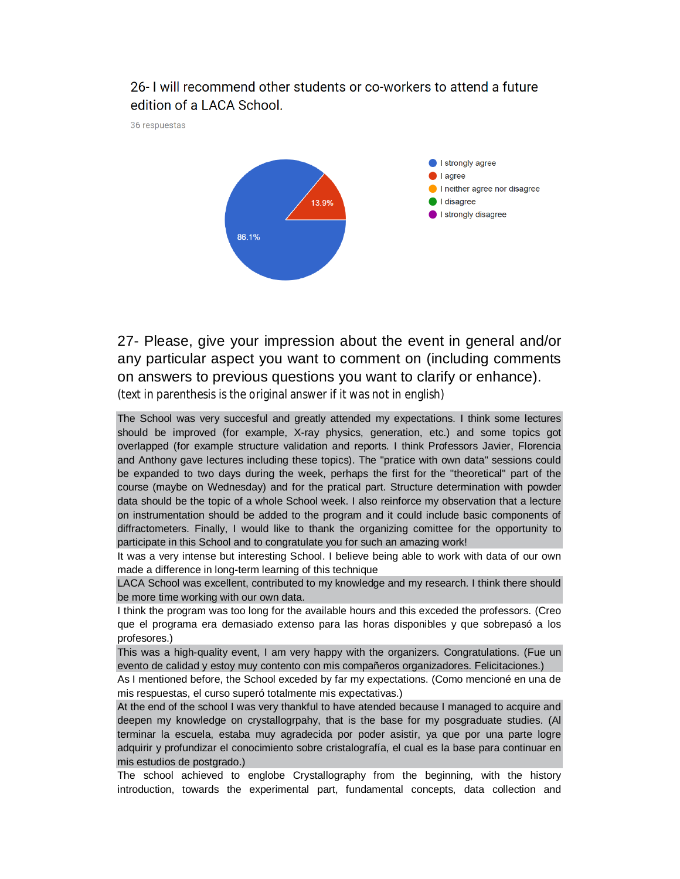## 26- I will recommend other students or co-workers to attend a future edition of a LACA School.

36 respuestas



27- Please, give your impression about the event in general and/or any particular aspect you want to comment on (including comments on answers to previous questions you want to clarify or enhance). (text in parenthesis is the original answer if it was not in english)

The School was very succesful and greatly attended my expectations. I think some lectures should be improved (for example, X-ray physics, generation, etc.) and some topics got overlapped (for example structure validation and reports. I think Professors Javier, Florencia and Anthony gave lectures including these topics). The "pratice with own data" sessions could be expanded to two days during the week, perhaps the first for the "theoretical" part of the course (maybe on Wednesday) and for the pratical part. Structure determination with powder data should be the topic of a whole School week. I also reinforce my observation that a lecture on instrumentation should be added to the program and it could include basic components of diffractometers. Finally, I would like to thank the organizing comittee for the opportunity to participate in this School and to congratulate you for such an amazing work!

It was a very intense but interesting School. I believe being able to work with data of our own made a difference in long-term learning of this technique

LACA School was excellent, contributed to my knowledge and my research. I think there should be more time working with our own data.

I think the program was too long for the available hours and this exceded the professors. (Creo que el programa era demasiado extenso para las horas disponibles y que sobrepasó a los profesores.)

This was a high-quality event, I am very happy with the organizers. Congratulations. (Fue un evento de calidad y estoy muy contento con mis compañeros organizadores. Felicitaciones.)

As I mentioned before, the School exceded by far my expectations. (Como mencioné en una de mis respuestas, el curso superó totalmente mis expectativas.)

At the end of the school I was very thankful to have atended because I managed to acquire and deepen my knowledge on crystallogrpahy, that is the base for my posgraduate studies. (Al terminar la escuela, estaba muy agradecida por poder asistir, ya que por una parte logre adquirir y profundizar el conocimiento sobre cristalografía, el cual es la base para continuar en mis estudios de postgrado.)

The school achieved to englobe Crystallography from the beginning, with the history introduction, towards the experimental part, fundamental concepts, data collection and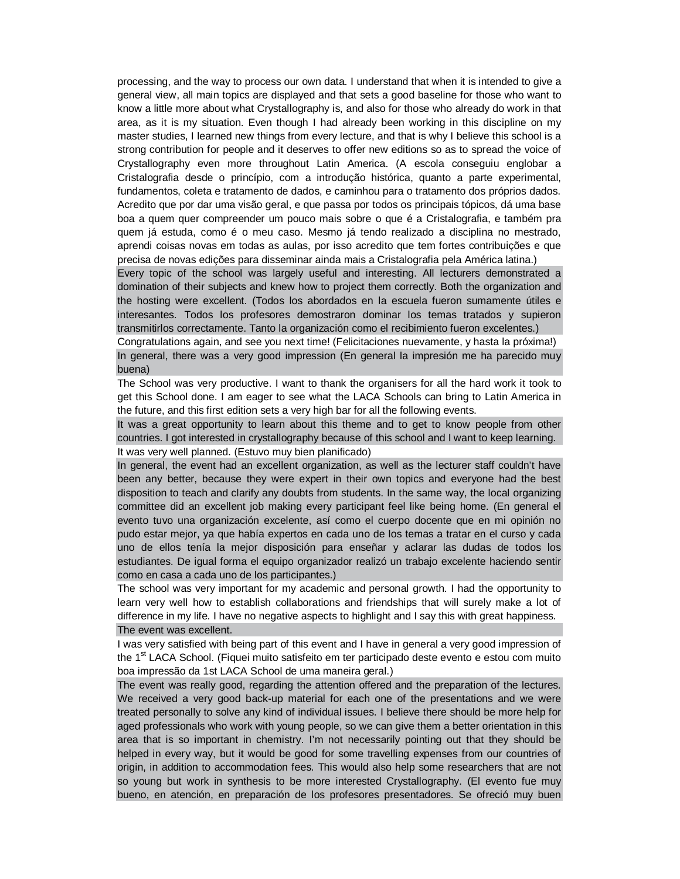processing, and the way to process our own data. I understand that when it is intended to give a general view, all main topics are displayed and that sets a good baseline for those who want to know a little more about what Crystallography is, and also for those who already do work in that area, as it is my situation. Even though I had already been working in this discipline on my master studies, I learned new things from every lecture, and that is why I believe this school is a strong contribution for people and it deserves to offer new editions so as to spread the voice of Crystallography even more throughout Latin America. (A escola conseguiu englobar a Cristalografia desde o princípio, com a introdução histórica, quanto a parte experimental, fundamentos, coleta e tratamento de dados, e caminhou para o tratamento dos próprios dados. Acredito que por dar uma visão geral, e que passa por todos os principais tópicos, dá uma base boa a quem quer compreender um pouco mais sobre o que é a Cristalografia, e também pra quem já estuda, como é o meu caso. Mesmo já tendo realizado a disciplina no mestrado, aprendi coisas novas em todas as aulas, por isso acredito que tem fortes contribuições e que precisa de novas edições para disseminar ainda mais a Cristalografia pela América latina.)

Every topic of the school was largely useful and interesting. All lecturers demonstrated a domination of their subjects and knew how to project them correctly. Both the organization and the hosting were excellent. (Todos los abordados en la escuela fueron sumamente útiles e interesantes. Todos los profesores demostraron dominar los temas tratados y supieron transmitirlos correctamente. Tanto la organización como el recibimiento fueron excelentes.)

Congratulations again, and see you next time! (Felicitaciones nuevamente, y hasta la próxima!) In general, there was a very good impression (En general la impresión me ha parecido muy buena)

The School was very productive. I want to thank the organisers for all the hard work it took to get this School done. I am eager to see what the LACA Schools can bring to Latin America in the future, and this first edition sets a very high bar for all the following events.

It was a great opportunity to learn about this theme and to get to know people from other countries. I got interested in crystallography because of this school and I want to keep learning. It was very well planned. (Estuvo muy bien planificado)

In general, the event had an excellent organization, as well as the lecturer staff couldn't have been any better, because they were expert in their own topics and everyone had the best disposition to teach and clarify any doubts from students. In the same way, the local organizing committee did an excellent job making every participant feel like being home. (En general el evento tuvo una organización excelente, así como el cuerpo docente que en mi opinión no pudo estar mejor, ya que había expertos en cada uno de los temas a tratar en el curso y cada uno de ellos tenía la mejor disposición para enseñar y aclarar las dudas de todos los estudiantes. De igual forma el equipo organizador realizó un trabajo excelente haciendo sentir como en casa a cada uno de los participantes.)

The school was very important for my academic and personal growth. I had the opportunity to learn very well how to establish collaborations and friendships that will surely make a lot of difference in my life. I have no negative aspects to highlight and I say this with great happiness. The event was excellent.

I was very satisfied with being part of this event and I have in general a very good impression of the 1<sup>st</sup> LACA School. (Fiquei muito satisfeito em ter participado deste evento e estou com muito boa impressão da 1st LACA School de uma maneira geral.)

The event was really good, regarding the attention offered and the preparation of the lectures. We received a very good back-up material for each one of the presentations and we were treated personally to solve any kind of individual issues. I believe there should be more help for aged professionals who work with young people, so we can give them a better orientation in this area that is so important in chemistry. I'm not necessarily pointing out that they should be helped in every way, but it would be good for some travelling expenses from our countries of origin, in addition to accommodation fees. This would also help some researchers that are not so young but work in synthesis to be more interested Crystallography. (El evento fue muy bueno, en atención, en preparación de los profesores presentadores. Se ofreció muy buen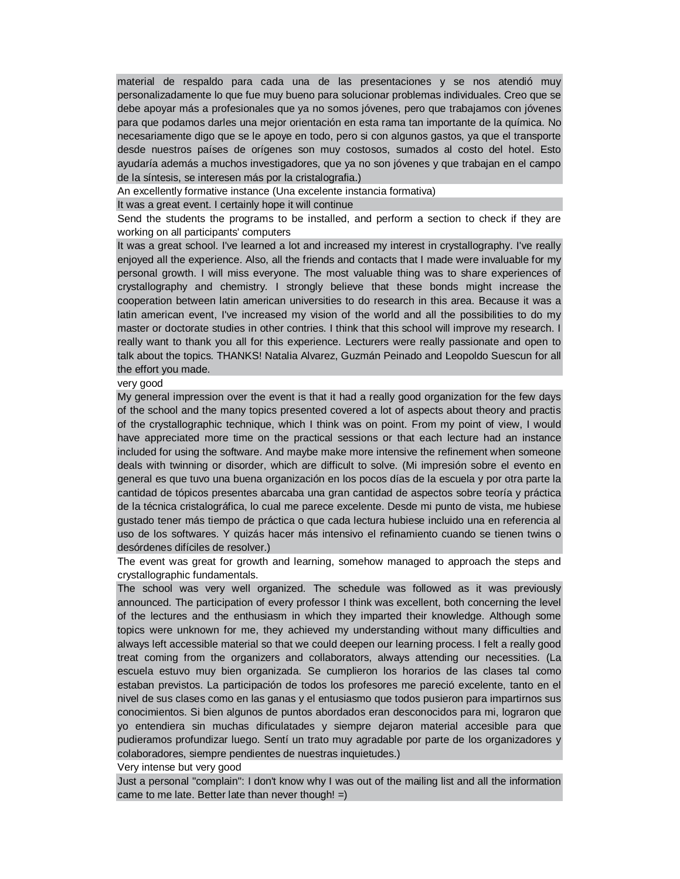material de respaldo para cada una de las presentaciones y se nos atendió muy personalizadamente lo que fue muy bueno para solucionar problemas individuales. Creo que se debe apoyar más a profesionales que ya no somos jóvenes, pero que trabajamos con jóvenes para que podamos darles una mejor orientación en esta rama tan importante de la química. No necesariamente digo que se le apoye en todo, pero si con algunos gastos, ya que el transporte desde nuestros países de orígenes son muy costosos, sumados al costo del hotel. Esto ayudaría además a muchos investigadores, que ya no son jóvenes y que trabajan en el campo de la síntesis, se interesen más por la cristalografia.)

An excellently formative instance (Una excelente instancia formativa)

It was a great event. I certainly hope it will continue

Send the students the programs to be installed, and perform a section to check if they are working on all participants' computers

It was a great school. I've learned a lot and increased my interest in crystallography. I've really enjoyed all the experience. Also, all the friends and contacts that I made were invaluable for my personal growth. I will miss everyone. The most valuable thing was to share experiences of crystallography and chemistry. I strongly believe that these bonds might increase the cooperation between latin american universities to do research in this area. Because it was a latin american event, I've increased my vision of the world and all the possibilities to do my master or doctorate studies in other contries. I think that this school will improve my research. I really want to thank you all for this experience. Lecturers were really passionate and open to talk about the topics. THANKS! Natalia Alvarez, Guzmán Peinado and Leopoldo Suescun for all the effort you made.

#### very good

My general impression over the event is that it had a really good organization for the few days of the school and the many topics presented covered a lot of aspects about theory and practis of the crystallographic technique, which I think was on point. From my point of view, I would have appreciated more time on the practical sessions or that each lecture had an instance included for using the software. And maybe make more intensive the refinement when someone deals with twinning or disorder, which are difficult to solve. (Mi impresión sobre el evento en general es que tuvo una buena organización en los pocos días de la escuela y por otra parte la cantidad de tópicos presentes abarcaba una gran cantidad de aspectos sobre teoría y práctica de la técnica cristalográfica, lo cual me parece excelente. Desde mi punto de vista, me hubiese gustado tener más tiempo de práctica o que cada lectura hubiese incluido una en referencia al uso de los softwares. Y quizás hacer más intensivo el refinamiento cuando se tienen twins o desórdenes difíciles de resolver.)

The event was great for growth and learning, somehow managed to approach the steps and crystallographic fundamentals.

The school was very well organized. The schedule was followed as it was previously announced. The participation of every professor I think was excellent, both concerning the level of the lectures and the enthusiasm in which they imparted their knowledge. Although some topics were unknown for me, they achieved my understanding without many difficulties and always left accessible material so that we could deepen our learning process. I felt a really good treat coming from the organizers and collaborators, always attending our necessities. (La escuela estuvo muy bien organizada. Se cumplieron los horarios de las clases tal como estaban previstos. La participación de todos los profesores me pareció excelente, tanto en el nivel de sus clases como en las ganas y el entusiasmo que todos pusieron para impartirnos sus conocimientos. Si bien algunos de puntos abordados eran desconocidos para mi, lograron que yo entendiera sin muchas dificulatades y siempre dejaron material accesible para que pudieramos profundizar luego. Sentí un trato muy agradable por parte de los organizadores y colaboradores, siempre pendientes de nuestras inquietudes.)

Very intense but very good

Just a personal "complain": I don't know why I was out of the mailing list and all the information came to me late. Better late than never though!  $=$ )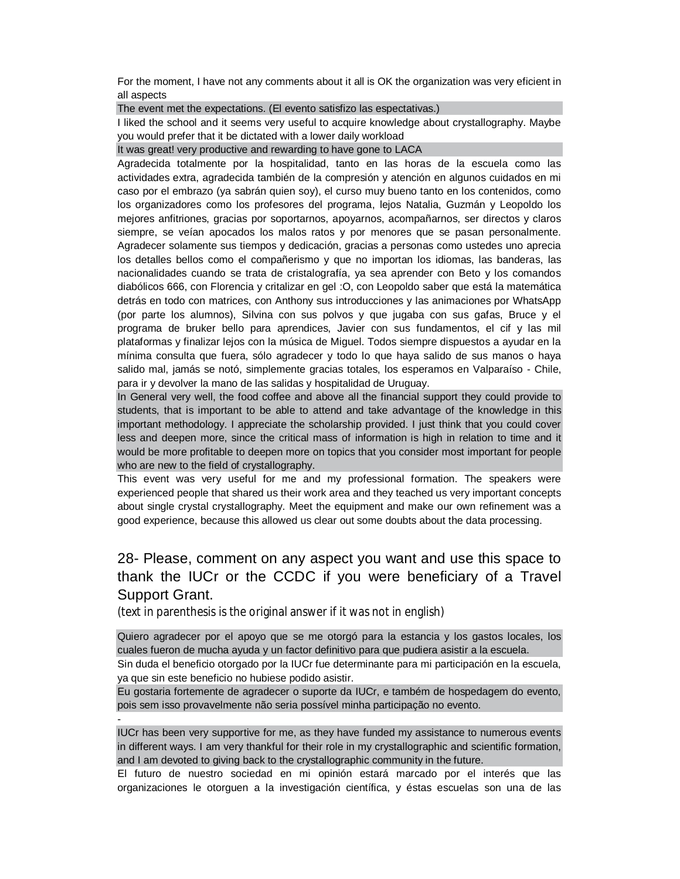For the moment, I have not any comments about it all is OK the organization was very eficient in all aspects

The event met the expectations. (El evento satisfizo las espectativas.)

I liked the school and it seems very useful to acquire knowledge about crystallography. Maybe you would prefer that it be dictated with a lower daily workload

It was great! very productive and rewarding to have gone to LACA

Agradecida totalmente por la hospitalidad, tanto en las horas de la escuela como las actividades extra, agradecida también de la compresión y atención en algunos cuidados en mi caso por el embrazo (ya sabrán quien soy), el curso muy bueno tanto en los contenidos, como los organizadores como los profesores del programa, lejos Natalia, Guzmán y Leopoldo los mejores anfitriones, gracias por soportarnos, apoyarnos, acompañarnos, ser directos y claros siempre, se veían apocados los malos ratos y por menores que se pasan personalmente. Agradecer solamente sus tiempos y dedicación, gracias a personas como ustedes uno aprecia los detalles bellos como el compañerismo y que no importan los idiomas, las banderas, las nacionalidades cuando se trata de cristalografía, ya sea aprender con Beto y los comandos diabólicos 666, con Florencia y critalizar en gel :O, con Leopoldo saber que está la matemática detrás en todo con matrices, con Anthony sus introducciones y las animaciones por WhatsApp (por parte los alumnos), Silvina con sus polvos y que jugaba con sus gafas, Bruce y el programa de bruker bello para aprendices, Javier con sus fundamentos, el cif y las mil plataformas y finalizar lejos con la música de Miguel. Todos siempre dispuestos a ayudar en la mínima consulta que fuera, sólo agradecer y todo lo que haya salido de sus manos o haya salido mal, jamás se notó, simplemente gracias totales, los esperamos en Valparaíso - Chile, para ir y devolver la mano de las salidas y hospitalidad de Uruguay.

In General very well, the food coffee and above all the financial support they could provide to students, that is important to be able to attend and take advantage of the knowledge in this important methodology. I appreciate the scholarship provided. I just think that you could cover less and deepen more, since the critical mass of information is high in relation to time and it would be more profitable to deepen more on topics that you consider most important for people who are new to the field of crystallography.

This event was very useful for me and my professional formation. The speakers were experienced people that shared us their work area and they teached us very important concepts about single crystal crystallography. Meet the equipment and make our own refinement was a good experience, because this allowed us clear out some doubts about the data processing.

# 28- Please, comment on any aspect you want and use this space to thank the IUCr or the CCDC if you were beneficiary of a Travel Support Grant.

(text in parenthesis is the original answer if it was not in english)

Quiero agradecer por el apoyo que se me otorgó para la estancia y los gastos locales, los cuales fueron de mucha ayuda y un factor definitivo para que pudiera asistir a la escuela. Sin duda el beneficio otorgado por la IUCr fue determinante para mi participación en la escuela,

ya que sin este beneficio no hubiese podido asistir.

-

Eu gostaria fortemente de agradecer o suporte da IUCr, e também de hospedagem do evento, pois sem isso provavelmente não seria possível minha participação no evento.

IUCr has been very supportive for me, as they have funded my assistance to numerous events in different ways. I am very thankful for their role in my crystallographic and scientific formation, and I am devoted to giving back to the crystallographic community in the future.

El futuro de nuestro sociedad en mi opinión estará marcado por el interés que las organizaciones le otorguen a la investigación científica, y éstas escuelas son una de las